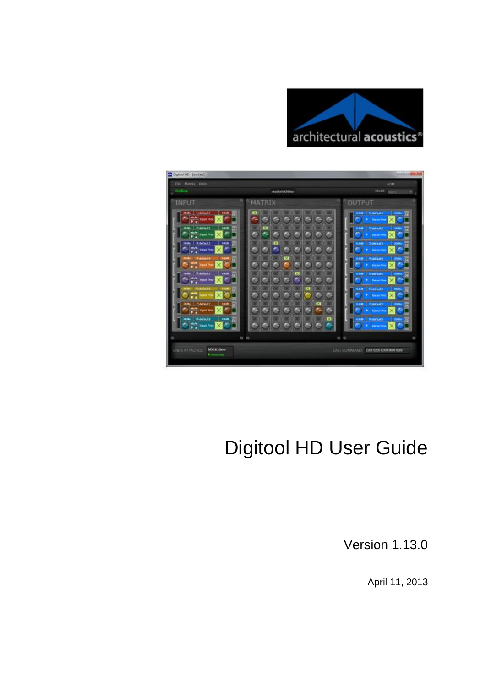



# Digitool HD User Guide

Version 1.13.0

April 11, 2013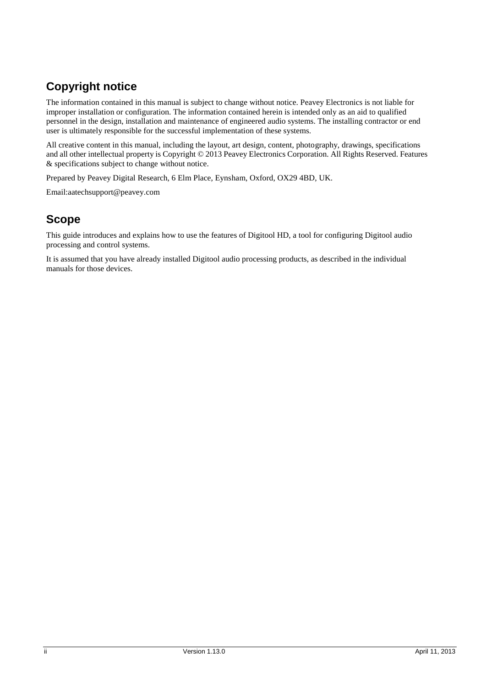## **Copyright notice**

The information contained in this manual is subject to change without notice. Peavey Electronics is not liable for improper installation or configuration. The information contained herein is intended only as an aid to qualified personnel in the design, installation and maintenance of engineered audio systems. The installing contractor or end user is ultimately responsible for the successful implementation of these systems.

All creative content in this manual, including the layout, art design, content, photography, drawings, specifications and all other intellectual property is Copyright © 2013 Peavey Electronics Corporation. All Rights Reserved. Features & specifications subject to change without notice.

Prepared by Peavey Digital Research, 6 Elm Place, Eynsham, Oxford, OX29 4BD, UK.

Email:aatechsupport@peavey.com

## **Scope**

This guide introduces and explains how to use the features of Digitool HD, a tool for configuring Digitool audio processing and control systems.

It is assumed that you have already installed Digitool audio processing products, as described in the individual manuals for those devices.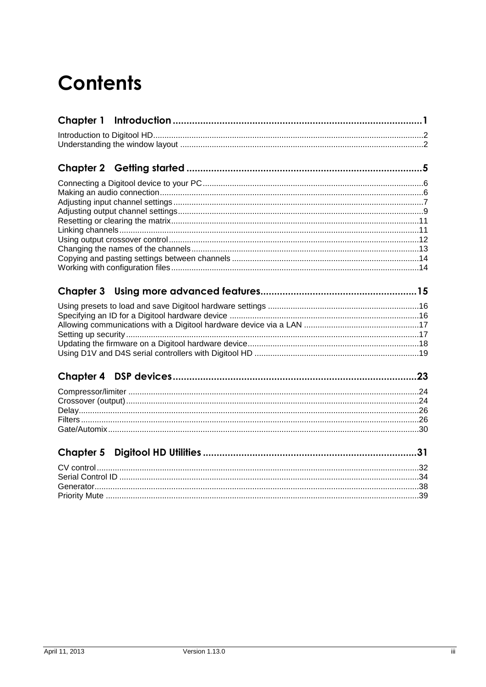# **Contents**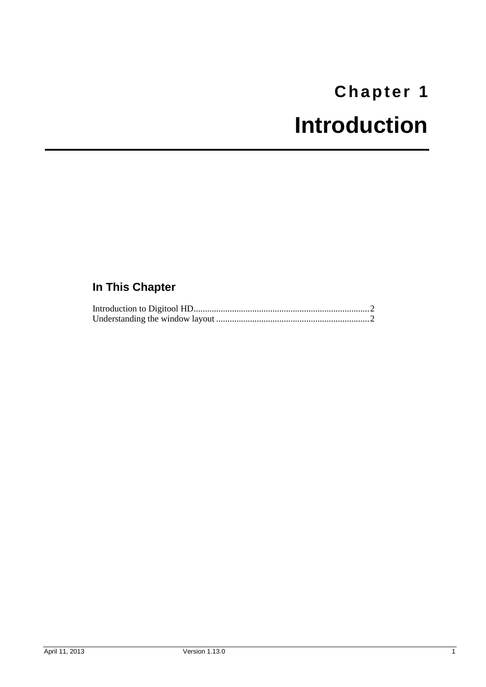# <span id="page-4-0"></span>**Chapter 1 Introduction**

# <span id="page-4-1"></span>**In This Chapter**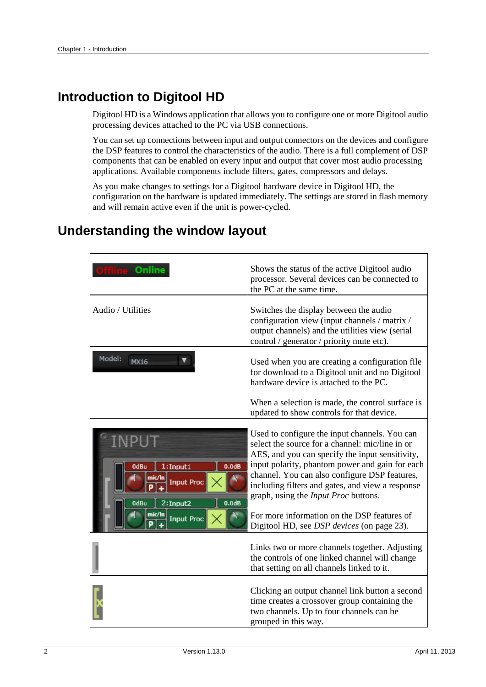## <span id="page-5-0"></span>**Introduction to Digitool HD**

Digitool HD is a Windows application that allows you to configure one or more Digitool audio processing devices attached to the PC via USB connections.

You can set up connections between input and output connectors on the devices and configure the DSP features to control the characteristics of the audio. There is a full complement of DSP components that can be enabled on every input and output that cover most audio processing applications. Available components include filters, gates, compressors and delays.

As you make changes to settings for a Digitool hardware device in Digitool HD, the configuration on the hardware is updated immediately. The settings are stored in flash memory and will remain active even if the unit is power-cycled.

| Online                                                                                                                                        | Shows the status of the active Digitool audio<br>processor. Several devices can be connected to<br>the PC at the same time.                                                                                                                                                                                                                                                                                                                                    |
|-----------------------------------------------------------------------------------------------------------------------------------------------|----------------------------------------------------------------------------------------------------------------------------------------------------------------------------------------------------------------------------------------------------------------------------------------------------------------------------------------------------------------------------------------------------------------------------------------------------------------|
| Audio / Utilities                                                                                                                             | Switches the display between the audio<br>configuration view (input channels / matrix /<br>output channels) and the utilities view (serial<br>control / generator / priority mute etc).                                                                                                                                                                                                                                                                        |
| Model:<br><b>MX16</b>                                                                                                                         | Used when you are creating a configuration file<br>for download to a Digitool unit and no Digitool<br>hardware device is attached to the PC.                                                                                                                                                                                                                                                                                                                   |
|                                                                                                                                               | When a selection is made, the control surface is<br>updated to show controls for that device.                                                                                                                                                                                                                                                                                                                                                                  |
| 1:Input1<br>0.0 <sub>d</sub> B<br>0dBu<br>mic/In<br><b>Input Proc</b><br>0.0 <sub>dB</sub><br>2:Input2<br>0dBu<br>mic/In<br><b>Input Proc</b> | Used to configure the input channels. You can<br>select the source for a channel: mic/line in or<br>AES, and you can specify the input sensitivity,<br>input polarity, phantom power and gain for each<br>channel. You can also configure DSP features,<br>including filters and gates, and view a response<br>graph, using the <i>Input Proc</i> buttons.<br>For more information on the DSP features of<br>Digitool HD, see <i>DSP devices</i> (on page 23). |
|                                                                                                                                               | Links two or more channels together. Adjusting<br>the controls of one linked channel will change<br>that setting on all channels linked to it.                                                                                                                                                                                                                                                                                                                 |
|                                                                                                                                               | Clicking an output channel link button a second<br>time creates a crossover group containing the<br>two channels. Up to four channels can be<br>grouped in this way.                                                                                                                                                                                                                                                                                           |

## <span id="page-5-1"></span>**Understanding the window layout**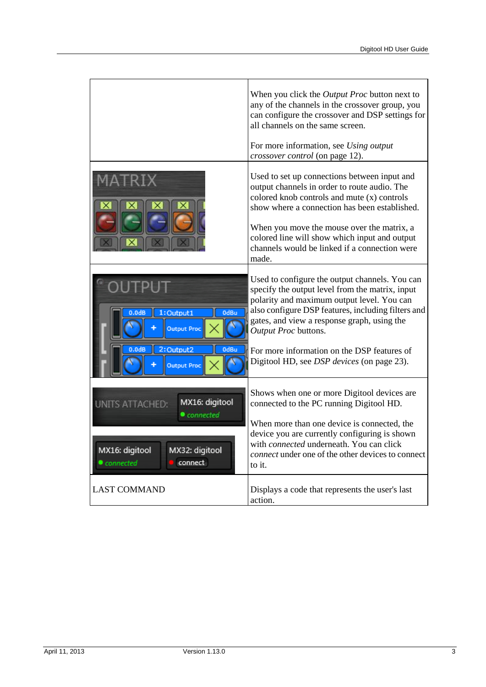|                                                                                                                                         | When you click the <i>Output Proc</i> button next to<br>any of the channels in the crossover group, you<br>can configure the crossover and DSP settings for<br>all channels on the same screen.<br>For more information, see Using output<br><i>crossover control</i> (on page 12).                                                                                              |
|-----------------------------------------------------------------------------------------------------------------------------------------|----------------------------------------------------------------------------------------------------------------------------------------------------------------------------------------------------------------------------------------------------------------------------------------------------------------------------------------------------------------------------------|
|                                                                                                                                         | Used to set up connections between input and<br>output channels in order to route audio. The<br>colored knob controls and mute (x) controls<br>show where a connection has been established.<br>When you move the mouse over the matrix, a<br>colored line will show which input and output<br>channels would be linked if a connection were<br>made.                            |
| 1:Output1<br>0dBu<br>0.0 <sub>dB</sub><br><b>Output Proc</b><br>2:Output2<br>0dBu<br>0.0 <sub>dB</sub>                                  | Used to configure the output channels. You can<br>specify the output level from the matrix, input<br>polarity and maximum output level. You can<br>also configure DSP features, including filters and<br>gates, and view a response graph, using the<br>Output Proc buttons.<br>For more information on the DSP features of<br>Digitool HD, see <i>DSP devices</i> (on page 23). |
| <b>Output Proc</b><br>MX16: digitool<br><b>UNITS ATTACHED:</b><br>connected<br>MX16: digitool<br>MX32: digitool<br>connect<br>connected | Shows when one or more Digitool devices are<br>connected to the PC running Digitool HD.<br>When more than one device is connected, the<br>device you are currently configuring is shown<br>with <i>connected</i> underneath. You can click<br><i>connect</i> under one of the other devices to connect                                                                           |
| <b>LAST COMMAND</b>                                                                                                                     | to it.<br>Displays a code that represents the user's last<br>action.                                                                                                                                                                                                                                                                                                             |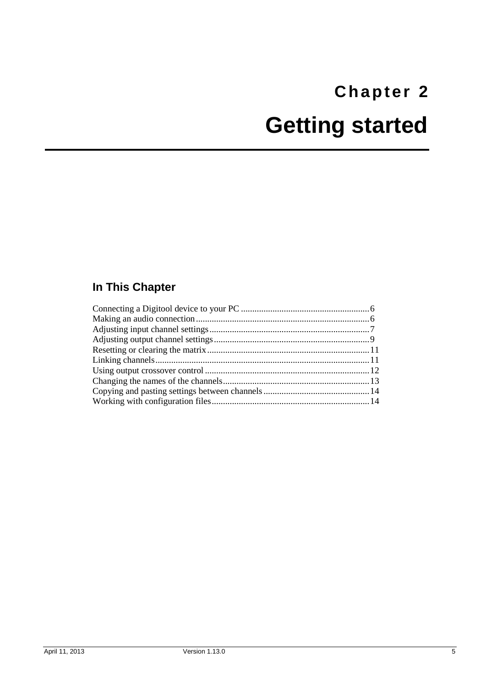# <span id="page-8-1"></span><span id="page-8-0"></span>**Chapter 2 Getting started**

# **In This Chapter**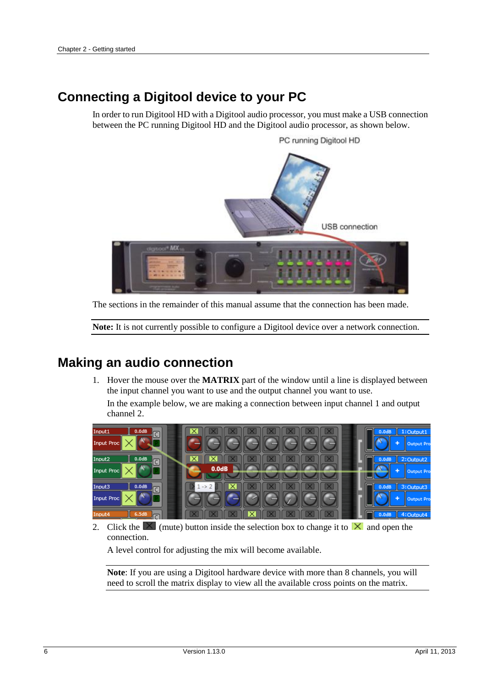## <span id="page-9-0"></span>**Connecting a Digitool device to your PC**

In order to run Digitool HD with a Digitool audio processor, you must make a USB connection between the PC running Digitool HD and the Digitool audio processor, as shown below.



The sections in the remainder of this manual assume that the connection has been made.

**Note:** It is not currently possible to configure a Digitool device over a network connection.

## <span id="page-9-1"></span>**Making an audio connection**

1. Hover the mouse over the **MATRIX** part of the window until a line is displayed between the input channel you want to use and the output channel you want to use.

In the example below, we are making a connection between input channel 1 and output channel 2.



2. Click the  $\boxtimes$  (mute) button inside the selection box to change it to  $\boxtimes$  and open the connection.

A level control for adjusting the mix will become available.

**Note**: If you are using a Digitool hardware device with more than 8 channels, you will need to scroll the matrix display to view all the available cross points on the matrix.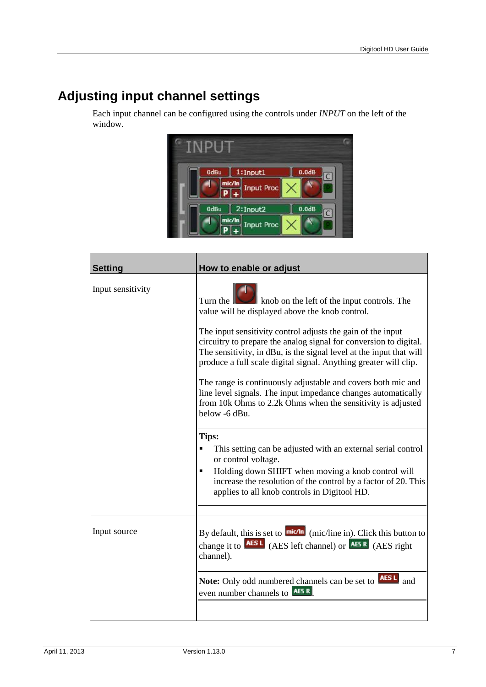# <span id="page-10-0"></span>**Adjusting input channel settings**

Each input channel can be configured using the controls under *INPUT* on the left of the window.



| <b>Setting</b>    | How to enable or adjust                                                                                                                                                                                                                                                                                                                                                                                                                                                                                                                                                                                                          |
|-------------------|----------------------------------------------------------------------------------------------------------------------------------------------------------------------------------------------------------------------------------------------------------------------------------------------------------------------------------------------------------------------------------------------------------------------------------------------------------------------------------------------------------------------------------------------------------------------------------------------------------------------------------|
| Input sensitivity | Turn the <b>New York has been</b> knob on the left of the input controls. The<br>value will be displayed above the knob control.<br>The input sensitivity control adjusts the gain of the input<br>circuitry to prepare the analog signal for conversion to digital.<br>The sensitivity, in dBu, is the signal level at the input that will<br>produce a full scale digital signal. Anything greater will clip.<br>The range is continuously adjustable and covers both mic and<br>line level signals. The input impedance changes automatically<br>from 10k Ohms to 2.2k Ohms when the sensitivity is adjusted<br>below -6 dBu. |
|                   | Tips:<br>This setting can be adjusted with an external serial control<br>Ξ<br>or control voltage.<br>Holding down SHIFT when moving a knob control will<br>$\blacksquare$<br>increase the resolution of the control by a factor of 20. This<br>applies to all knob controls in Digitool HD.                                                                                                                                                                                                                                                                                                                                      |
| Input source      | By default, this is set to $\frac{m  \mathcal{C}  \cdot m}{m  \mathcal{C} }$ (mic/line in). Click this button to<br>channel).<br>Note: Only odd numbered channels can be set to <b>AESL</b> and                                                                                                                                                                                                                                                                                                                                                                                                                                  |
|                   | even number channels to <b>AESR</b>                                                                                                                                                                                                                                                                                                                                                                                                                                                                                                                                                                                              |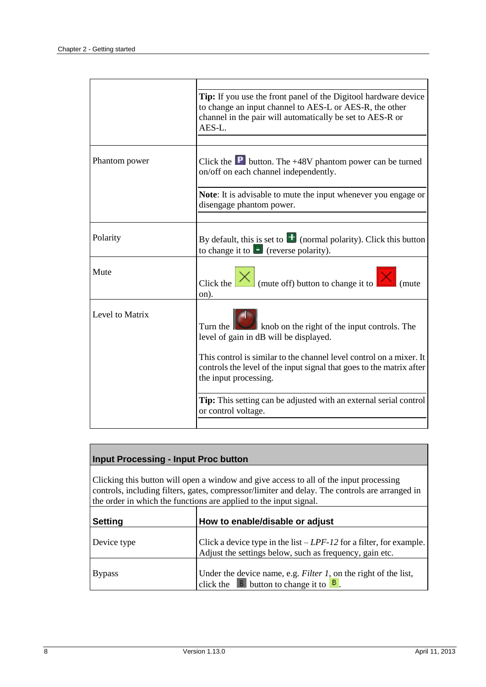|                 | Tip: If you use the front panel of the Digitool hardware device<br>to change an input channel to AES-L or AES-R, the other<br>channel in the pair will automatically be set to AES-R or<br>AES-L. |
|-----------------|---------------------------------------------------------------------------------------------------------------------------------------------------------------------------------------------------|
|                 |                                                                                                                                                                                                   |
| Phantom power   | Click the $\boxed{\text{P}}$ button. The +48V phantom power can be turned<br>on/off on each channel independently.                                                                                |
|                 | Note: It is advisable to mute the input whenever you engage or<br>disengage phantom power.                                                                                                        |
|                 |                                                                                                                                                                                                   |
| Polarity        | By default, this is set to $\pm$ (normal polarity). Click this button<br>to change it to $\Box$ (reverse polarity).                                                                               |
| Mute            | Click the $\left \times\right $ (mute off) button to change it to<br>on).                                                                                                                         |
| Level to Matrix | Turn the $\ \Box\ $ knob on the right of the input controls. The<br>level of gain in dB will be displayed.                                                                                        |
|                 | This control is similar to the channel level control on a mixer. It<br>controls the level of the input signal that goes to the matrix after<br>the input processing.                              |
|                 | Tip: This setting can be adjusted with an external serial control<br>or control voltage.                                                                                                          |
|                 |                                                                                                                                                                                                   |

| <b>Input Processing - Input Proc button</b> |
|---------------------------------------------|
|---------------------------------------------|

Clicking this button will open a window and give access to all of the input processing controls, including filters, gates, compressor/limiter and delay. The controls are arranged in the order in which the functions are applied to the input signal.

| <b>Setting</b> | How to enable/disable or adjust                                                                                                             |
|----------------|---------------------------------------------------------------------------------------------------------------------------------------------|
| Device type    | Click a device type in the list $-LPF-12$ for a filter, for example.<br>Adjust the settings below, such as frequency, gain etc.             |
| <b>Bypass</b>  | Under the device name, e.g. <i>Filter 1</i> , on the right of the list,<br>click the $\overline{B}$ button to change it to $\overline{B}$ . |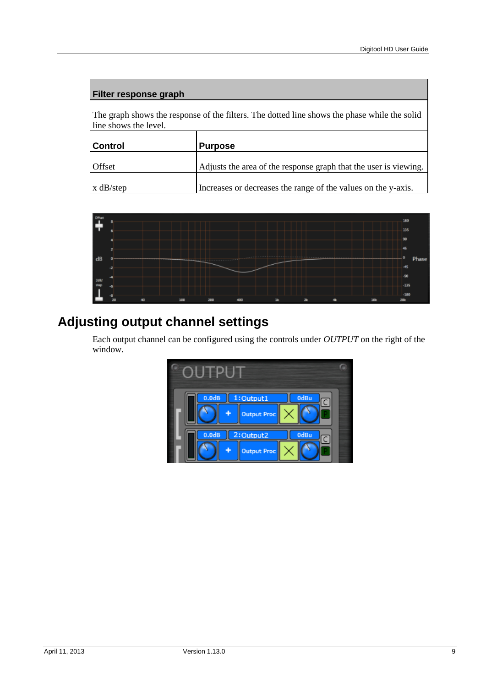#### **Filter response graph**

The graph shows the response of the filters. The dotted line shows the phase while the solid line shows the level.

| <b>Control</b> | <b>Purpose</b>                                                   |
|----------------|------------------------------------------------------------------|
| <b>Offset</b>  | Adjusts the area of the response graph that the user is viewing. |
| $x$ dB/step    | Increases or decreases the range of the values on the y-axis.    |



# <span id="page-12-0"></span>**Adjusting output channel settings**

Each output channel can be configured using the controls under *OUTPUT* on the right of the window.

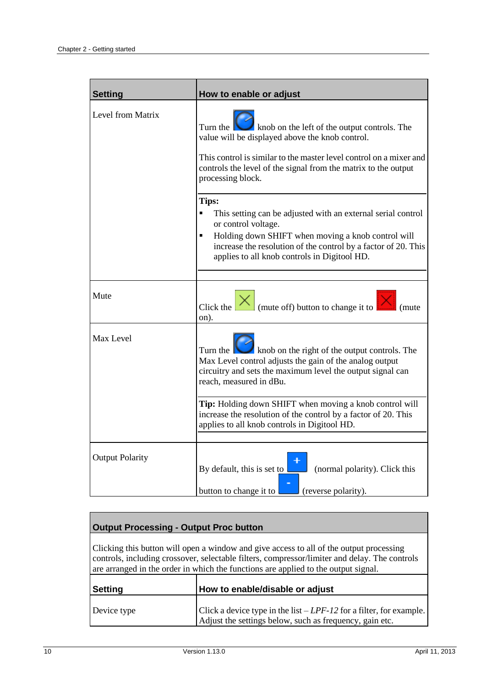| <b>Setting</b>         | How to enable or adjust                                                                                                                                                                                                                                                                     |
|------------------------|---------------------------------------------------------------------------------------------------------------------------------------------------------------------------------------------------------------------------------------------------------------------------------------------|
| Level from Matrix      | knob on the left of the output controls. The<br>Turn the $\  \cdot \ $<br>value will be displayed above the knob control.<br>This control is similar to the master level control on a mixer and<br>controls the level of the signal from the matrix to the output<br>processing block.      |
|                        | Tips:<br>$\blacksquare$<br>This setting can be adjusted with an external serial control<br>or control voltage.<br>Holding down SHIFT when moving a knob control will<br>Ξ<br>increase the resolution of the control by a factor of 20. This<br>applies to all knob controls in Digitool HD. |
| Mute                   | Click the $\vert x \vert$ (mute off) button to change it to<br>(mute)<br>on).                                                                                                                                                                                                               |
| Max Level              | Turn the $\blacksquare$<br>knob on the right of the output controls. The<br>Max Level control adjusts the gain of the analog output<br>circuitry and sets the maximum level the output signal can<br>reach, measured in dBu.                                                                |
|                        | Tip: Holding down SHIFT when moving a knob control will<br>increase the resolution of the control by a factor of 20. This<br>applies to all knob controls in Digitool HD.                                                                                                                   |
| <b>Output Polarity</b> | (normal polarity). Click this<br>By default, this is set to<br>(reverse polarity).<br>button to change it to                                                                                                                                                                                |

### **Output Processing - Output Proc button**

Clicking this button will open a window and give access to all of the output processing controls, including crossover, selectable filters, compressor/limiter and delay. The controls are arranged in the order in which the functions are applied to the output signal.

| Setting     | How to enable/disable or adjust                                                                                                 |
|-------------|---------------------------------------------------------------------------------------------------------------------------------|
| Device type | Click a device type in the list $-LPF-12$ for a filter, for example.<br>Adjust the settings below, such as frequency, gain etc. |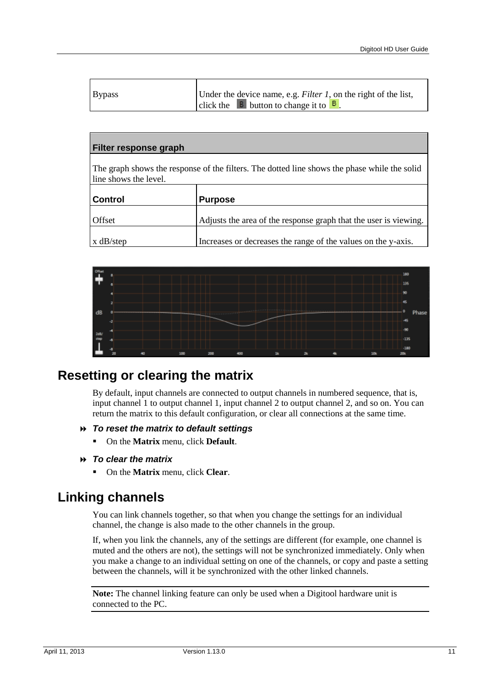| <b>Bypass</b> | Under the device name, e.g. <i>Filter 1</i> , on the right of the list, |
|---------------|-------------------------------------------------------------------------|
|               | click the $\overline{B}$ button to change it to $\overline{B}$ .        |

#### **Filter response graph**

The graph shows the response of the filters. The dotted line shows the phase while the solid line shows the level.

| <b>Control</b> | <b>Purpose</b>                                                   |
|----------------|------------------------------------------------------------------|
| <b>Offset</b>  | Adjusts the area of the response graph that the user is viewing. |
| $x$ dB/step    | Increases or decreases the range of the values on the y-axis.    |



## <span id="page-14-0"></span>**Resetting or clearing the matrix**

By default, input channels are connected to output channels in numbered sequence, that is, input channel 1 to output channel 1, input channel 2 to output channel 2, and so on. You can return the matrix to this default configuration, or clear all connections at the same time.

#### *To reset the matrix to default settings*

On the **Matrix** menu, click **Default**.

#### *To clear the matrix*

On the **Matrix** menu, click **Clear**.

## <span id="page-14-1"></span>**Linking channels**

You can link channels together, so that when you change the settings for an individual channel, the change is also made to the other channels in the group.

If, when you link the channels, any of the settings are different (for example, one channel is muted and the others are not), the settings will not be synchronized immediately. Only when you make a change to an individual setting on one of the channels, or copy and paste a setting between the channels, will it be synchronized with the other linked channels.

**Note:** The channel linking feature can only be used when a Digitool hardware unit is connected to the PC.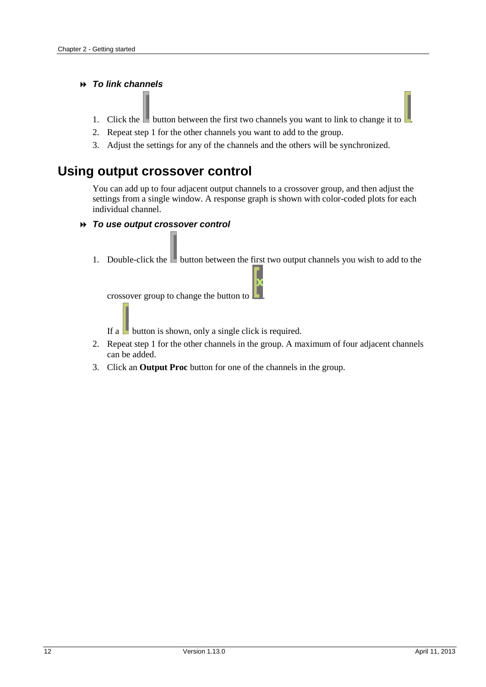#### *To link channels*

- 1. Click the button between the first two channels you want to link to change it to  $\vert$
- 2. Repeat step 1 for the other channels you want to add to the group.
- 3. Adjust the settings for any of the channels and the others will be synchronized.

## <span id="page-15-0"></span>**Using output crossover control**

You can add up to four adjacent output channels to a crossover group, and then adjust the settings from a single window. A response graph is shown with color-coded plots for each individual channel.

#### *To use output crossover control*

1. Double-click the **button between the first two output channels you wish to add to the** L

crossover group to change the button to .

If a **button** is shown, only a single click is required.

- 2. Repeat step 1 for the other channels in the group. A maximum of four adjacent channels can be added.
- 3. Click an **Output Proc** button for one of the channels in the group.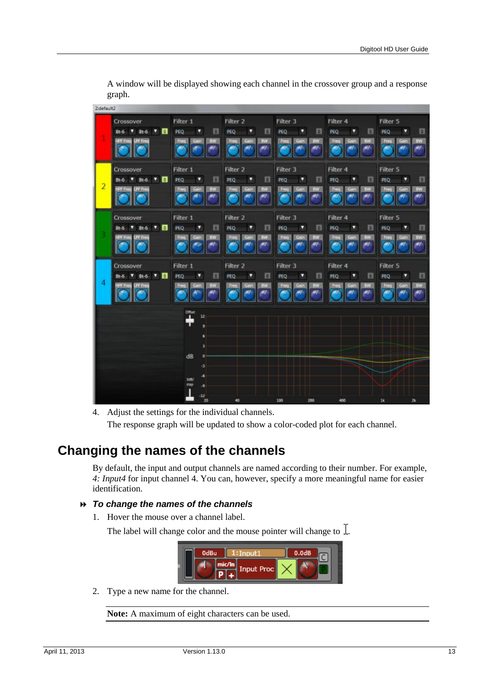|                | Crossover<br><b>TV 8</b><br>Bt-6<br>$Bt-6$<br>w<br>LPF Freq<br><b>IFF</b> Free | Filter 1<br>П<br>PEQ<br>v<br><b>BW</b><br>Freq<br>m  | Filter <sub>2</sub><br>圓<br>PEQ<br>۵<br>BW<br>Freq<br>cain<br>.,       | Filter 3<br>B<br>PEQ<br>υ<br>WE<br>Free<br>Gair        | Filter 4<br>PEQ<br>圓<br>Π<br><b>BW</b><br>Freq             | Filter 5<br>PEQ<br>圓<br>Freq       |
|----------------|--------------------------------------------------------------------------------|------------------------------------------------------|------------------------------------------------------------------------|--------------------------------------------------------|------------------------------------------------------------|------------------------------------|
| $\overline{2}$ | Crossover<br>▼■<br><b>Bt-6</b><br>$Bt-6$<br><b>PF</b> freq<br><b>CHEES</b>     | Filter 1<br>同<br>PEQ<br>D<br><b>BW</b><br>freq       | Filter <sub>2</sub><br>圓<br>v<br>PEQ<br><b>BW</b><br>Fred              | Filter 3<br>в<br>u<br>PEQ<br><b>BW</b><br>Freq         | Filter 4<br>v<br>桐<br>PEQ<br>Freq<br>BW                    | Filter 5<br>PEQ<br>同<br>۵<br>Freq  |
|                | Crossover<br>$T$ B<br>Bt-6<br>Bt-6<br>LPF Freq<br><b>IFF</b> Freq              | Filter 1<br>圓<br>PEQ<br>v<br>EW<br>Freq<br>47        | Filter <sub>2</sub><br>画<br>PEQ<br>v<br><b>BW</b><br>Freq<br>Gain<br>w | Filter 3<br>E<br>PEQ<br>ν<br>9W<br>Freq<br><b>City</b> | Filter <sub>4</sub><br>圓<br>PEQ<br>۷<br>Freq<br>Gain<br>aw | Filter 5<br>目<br>PEQ<br>W.<br>Freq |
| 4              | Crossover<br>$7$ $\Box$<br>Bt-6<br>$Bt-6$<br><b>PT Freq</b>                    | Filter 1<br>目<br>PEQ<br>۵<br>ŋw                      | Filter <sub>2</sub><br>E<br>PEQ<br>Ω<br><b>UW</b>                      | Filter 3<br>同<br>PEQ<br>ν<br>Freq                      | Filter 4<br>圓<br>PEQ<br>۰<br>Freq<br><b>BW</b>             | Filter 5<br>PEQ<br>в<br>freq       |
|                |                                                                                | $\mathbf{I}$<br>12 <sub>1</sub><br>٥<br>6<br>s<br>dB |                                                                        |                                                        | <b>HH+</b>                                                 |                                    |
|                |                                                                                | ٠з<br>-6<br>300<br>step<br>-9<br>$-12$<br>20         | 40                                                                     | 100<br>200                                             | 400                                                        | 1k<br>2k                           |

A window will be displayed showing each channel in the crossover group and a response graph.

## <span id="page-16-0"></span>**Changing the names of the channels**

 $7.12.1$ 

By default, the input and output channels are named according to their number. For example, *4: Input4* for input channel 4. You can, however, specify a more meaningful name for easier identification.

#### *To change the names of the channels*

1. Hover the mouse over a channel label.

The label will change color and the mouse pointer will change to  $\overline{I}$ .



2. Type a new name for the channel.

**Note:** A maximum of eight characters can be used.

<sup>4.</sup> Adjust the settings for the individual channels. The response graph will be updated to show a color-coded plot for each channel.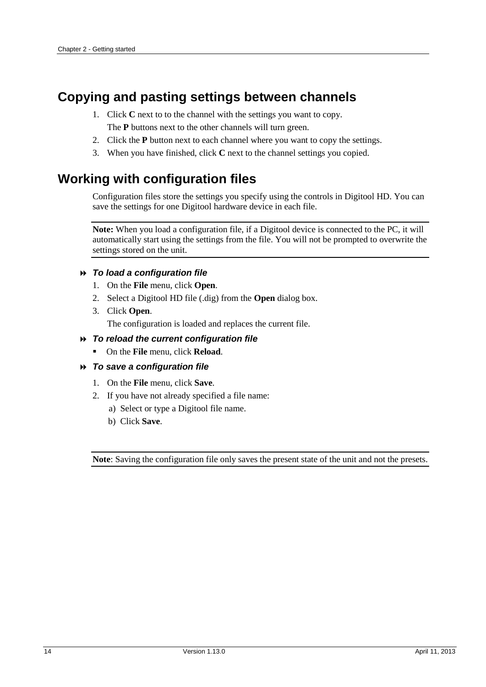# <span id="page-17-0"></span>**Copying and pasting settings between channels**

- 1. Click **C** next to to the channel with the settings you want to copy. The **P** buttons next to the other channels will turn green.
- 2. Click the **P** button next to each channel where you want to copy the settings.
- 3. When you have finished, click **C** next to the channel settings you copied.

## <span id="page-17-1"></span>**Working with configuration files**

Configuration files store the settings you specify using the controls in Digitool HD. You can save the settings for one Digitool hardware device in each file.

**Note:** When you load a configuration file, if a Digitool device is connected to the PC, it will automatically start using the settings from the file. You will not be prompted to overwrite the settings stored on the unit.

#### *To load a configuration file*

- 1. On the **File** menu, click **Open**.
- 2. Select a Digitool HD file (.dig) from the **Open** dialog box.
- 3. Click **Open**.

The configuration is loaded and replaces the current file.

#### *To reload the current configuration file*

On the **File** menu, click **Reload**.

#### *To save a configuration file*

- 1. On the **File** menu, click **Save**.
- 2. If you have not already specified a file name:
	- a) Select or type a Digitool file name.
	- b) Click **Save**.

**Note**: Saving the configuration file only saves the present state of the unit and not the presets.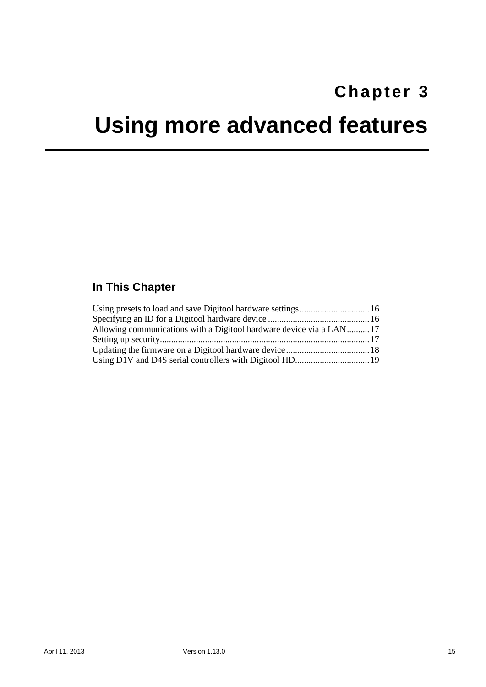# <span id="page-18-0"></span>**Chapter 3**

# <span id="page-18-1"></span>**Using more advanced features**

## **In This Chapter**

| Allowing communications with a Digitool hardware device via a LAN17 |  |
|---------------------------------------------------------------------|--|
|                                                                     |  |
|                                                                     |  |
|                                                                     |  |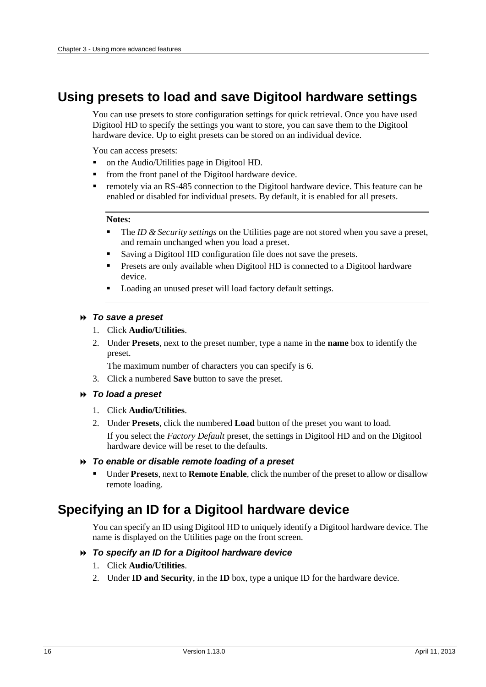## <span id="page-19-0"></span>**Using presets to load and save Digitool hardware settings**

You can use presets to store configuration settings for quick retrieval. Once you have used Digitool HD to specify the settings you want to store, you can save them to the Digitool hardware device. Up to eight presets can be stored on an individual device.

You can access presets:

- on the Audio/Utilities page in Digitool HD.
- from the front panel of the Digitool hardware device.
- **•** remotely via an RS-485 connection to the Digitool hardware device. This feature can be enabled or disabled for individual presets. By default, it is enabled for all presets.

#### **Notes:**

- The *ID & Security settings* on the Utilities page are not stored when you save a preset, and remain unchanged when you load a preset.
- Saving a Digitool HD configuration file does not save the presets.
- **Presets are only available when Digitool HD is connected to a Digitool hardware** device.
- Loading an unused preset will load factory default settings.

#### *To save a preset*

- 1. Click **Audio/Utilities**.
- 2. Under **Presets**, next to the preset number, type a name in the **name** box to identify the preset.

The maximum number of characters you can specify is 6.

3. Click a numbered **Save** button to save the preset.

#### *To load a preset*

- 1. Click **Audio/Utilities**.
- 2. Under **Presets**, click the numbered **Load** button of the preset you want to load.

If you select the *Factory Default* preset, the settings in Digitool HD and on the Digitool hardware device will be reset to the defaults.

#### *To enable or disable remote loading of a preset*

 Under **Presets**, next to **Remote Enable**, click the number of the preset to allow or disallow remote loading.

## <span id="page-19-1"></span>**Specifying an ID for a Digitool hardware device**

You can specify an ID using Digitool HD to uniquely identify a Digitool hardware device. The name is displayed on the Utilities page on the front screen.

### *To specify an ID for a Digitool hardware device*

- 1. Click **Audio/Utilities**.
- 2. Under **ID and Security**, in the **ID** box, type a unique ID for the hardware device.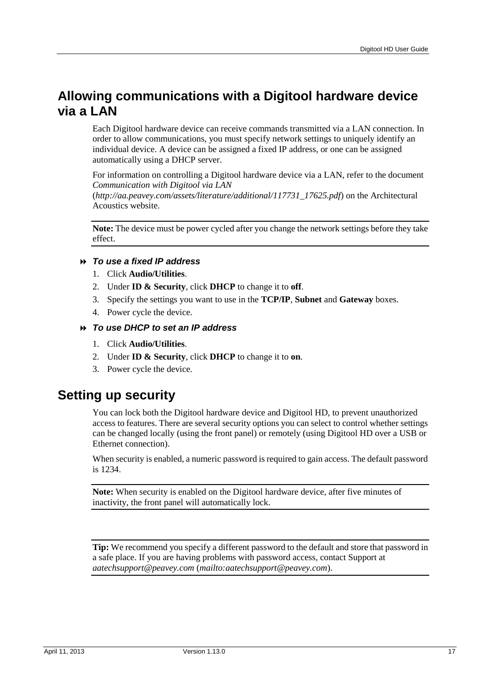## <span id="page-20-0"></span>**Allowing communications with a Digitool hardware device via a LAN**

Each Digitool hardware device can receive commands transmitted via a LAN connection. In order to allow communications, you must specify network settings to uniquely identify an individual device. A device can be assigned a fixed IP address, or one can be assigned automatically using a DHCP server.

For information on controlling a Digitool hardware device via a LAN, refer to the document *Communication with Digitool via LAN*

(*[http://aa.peavey.com/assets/literature/additional/117731\\_17625.pdf](http://aa.peavey.com/assets/literature/additional/117731_17625.pdf)*) on the Architectural Acoustics website.

**Note:** The device must be power cycled after you change the network settings before they take effect.

#### *To use a fixed IP address*

- 1. Click **Audio/Utilities**.
- 2. Under **ID & Security**, click **DHCP** to change it to **off**.
- 3. Specify the settings you want to use in the **TCP/IP**, **Subnet** and **Gateway** boxes.
- 4. Power cycle the device.

#### *To use DHCP to set an IP address*

- 1. Click **Audio/Utilities**.
- 2. Under **ID & Security**, click **DHCP** to change it to **on**.
- 3. Power cycle the device.

## <span id="page-20-1"></span>**Setting up security**

You can lock both the Digitool hardware device and Digitool HD, to prevent unauthorized access to features. There are several security options you can select to control whether settings can be changed locally (using the front panel) or remotely (using Digitool HD over a USB or Ethernet connection).

When security is enabled, a numeric password is required to gain access. The default password is 1234.

**Note:** When security is enabled on the Digitool hardware device, after five minutes of inactivity, the front panel will automatically lock.

**Tip:** We recommend you specify a different password to the default and store that password in a safe place. If you are having problems with password access, contact Support at *aatechsupport@peavey.com* (*<mailto:aatechsupport@peavey.com>*).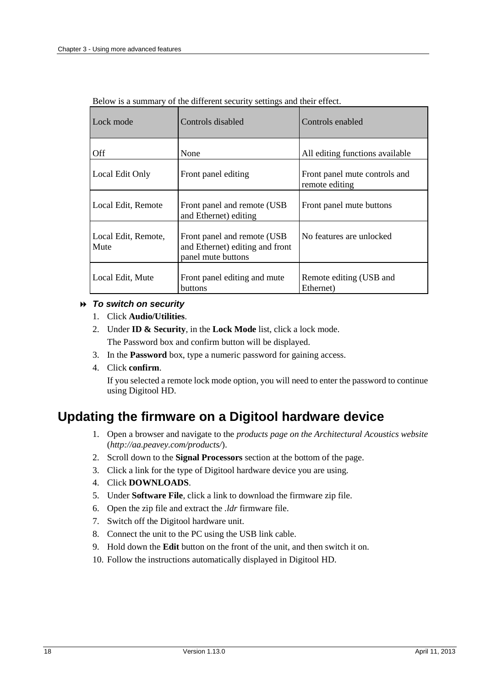| Lock mode                   | Controls disabled                                                                     | Controls enabled                                |
|-----------------------------|---------------------------------------------------------------------------------------|-------------------------------------------------|
| Off                         | None                                                                                  | All editing functions available                 |
| Local Edit Only             | Front panel editing                                                                   | Front panel mute controls and<br>remote editing |
| Local Edit, Remote          | Front panel and remote (USB)<br>and Ethernet) editing                                 | Front panel mute buttons                        |
| Local Edit, Remote,<br>Mute | Front panel and remote (USB)<br>and Ethernet) editing and front<br>panel mute buttons | No features are unlocked                        |
| Local Edit, Mute            | Front panel editing and mute<br>buttons                                               | Remote editing (USB and<br>Ethernet)            |

Below is a summary of the different security settings and their effect.

#### *To switch on security*

- 1. Click **Audio/Utilities**.
- 2. Under **ID & Security**, in the **Lock Mode** list, click a lock mode. The Password box and confirm button will be displayed.
- 3. In the **Password** box, type a numeric password for gaining access.
- 4. Click **confirm**.

If you selected a remote lock mode option, you will need to enter the password to continue using Digitool HD.

## <span id="page-21-0"></span>**Updating the firmware on a Digitool hardware device**

- 1. Open a browser and navigate to the *products page on the Architectural Acoustics website* (*<http://aa.peavey.com/products/>*).
- 2. Scroll down to the **Signal Processors** section at the bottom of the page.
- 3. Click a link for the type of Digitool hardware device you are using.
- 4. Click **DOWNLOADS**.
- 5. Under **Software File**, click a link to download the firmware zip file.
- 6. Open the zip file and extract the *.ldr* firmware file.
- 7. Switch off the Digitool hardware unit.
- 8. Connect the unit to the PC using the USB link cable.
- 9. Hold down the **Edit** button on the front of the unit, and then switch it on.
- 10. Follow the instructions automatically displayed in Digitool HD.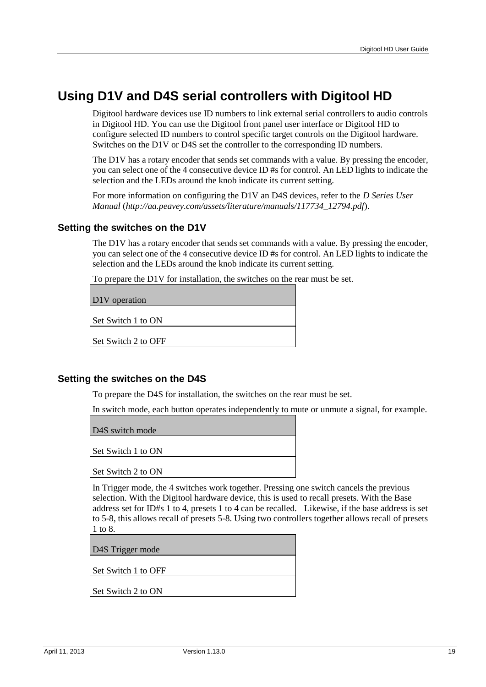## <span id="page-22-0"></span>**Using D1V and D4S serial controllers with Digitool HD**

Digitool hardware devices use ID numbers to link external serial controllers to audio controls in Digitool HD. You can use the Digitool front panel user interface or Digitool HD to configure selected ID numbers to control specific target controls on the Digitool hardware. Switches on the D1V or D4S set the controller to the corresponding ID numbers.

The D1V has a rotary encoder that sends set commands with a value. By pressing the encoder, you can select one of the 4 consecutive device ID #s for control. An LED lights to indicate the selection and the LEDs around the knob indicate its current setting.

For more information on configuring the D1V an D4S devices, refer to the *D Series User Manual* (*[http://aa.peavey.com/assets/literature/manuals/117734\\_12794.pdf](http://aa.peavey.com/assets/literature/manuals/117734_12794.pdf)*).

#### **Setting the switches on the D1V**

The D1V has a rotary encoder that sends set commands with a value. By pressing the encoder, you can select one of the 4 consecutive device ID #s for control. An LED lights to indicate the selection and the LEDs around the knob indicate its current setting.

To prepare the D1V for installation, the switches on the rear must be set.

D1V operation

Set Switch 1 to ON

Set Switch 2 to OFF

#### **Setting the switches on the D4S**

To prepare the D4S for installation, the switches on the rear must be set.

In switch mode, each button operates independently to mute or unmute a signal, for example.

D4S switch mode

Set Switch 1 to ON

Set Switch 2 to ON

In Trigger mode, the 4 switches work together. Pressing one switch cancels the previous selection. With the Digitool hardware device, this is used to recall presets. With the Base address set for ID#s 1 to 4, presets 1 to 4 can be recalled. Likewise, if the base address is set to 5-8, this allows recall of presets 5-8. Using two controllers together allows recall of presets 1 to 8.

D4S Trigger mode

Set Switch 1 to OFF

Set Switch 2 to ON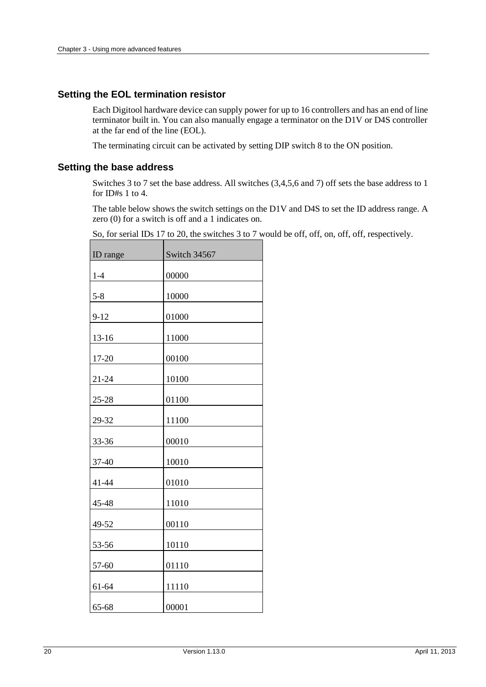#### **Setting the EOL termination resistor**

Each Digitool hardware device can supply power for up to 16 controllers and has an end of line terminator built in. You can also manually engage a terminator on the D1V or D4S controller at the far end of the line (EOL).

The terminating circuit can be activated by setting DIP switch 8 to the ON position.

#### **Setting the base address**

Switches 3 to 7 set the base address. All switches (3,4,5,6 and 7) off sets the base address to 1 for ID#s 1 to 4.

The table below shows the switch settings on the D1V and D4S to set the ID address range. A zero (0) for a switch is off and a 1 indicates on.

| ID range  | Switch 34567 |
|-----------|--------------|
| $1-4$     | 00000        |
| $5 - 8$   | 10000        |
| $9 - 12$  | 01000        |
| 13-16     | 11000        |
| 17-20     | 00100        |
| 21-24     | 10100        |
| 25-28     | 01100        |
| 29-32     | 11100        |
| 33-36     | 00010        |
| 37-40     | 10010        |
| 41-44     | 01010        |
| 45-48     | 11010        |
| 49-52     | 00110        |
| 53-56     | 10110        |
| 57-60     | 01110        |
| 61-64     | 11110        |
| $65 - 68$ | 00001        |

So, for serial IDs 17 to 20, the switches 3 to 7 would be off, off, on, off, off, respectively.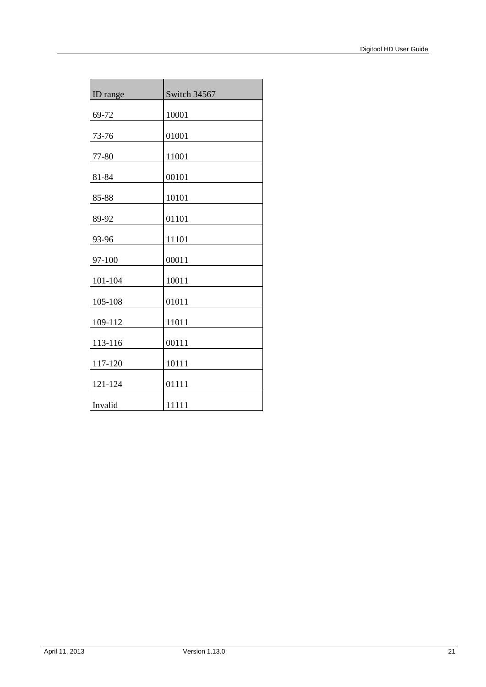| ID range | Switch 34567 |
|----------|--------------|
| 69-72    | 10001        |
| 73-76    | 01001        |
| 77-80    | 11001        |
| 81-84    | 00101        |
| 85-88    | 10101        |
| 89-92    | 01101        |
| 93-96    | 11101        |
| 97-100   | 00011        |
| 101-104  | 10011        |
| 105-108  | 01011        |
| 109-112  | 11011        |
| 113-116  | 00111        |
| 117-120  | 10111        |
| 121-124  | 01111        |
| Invalid  | 11111        |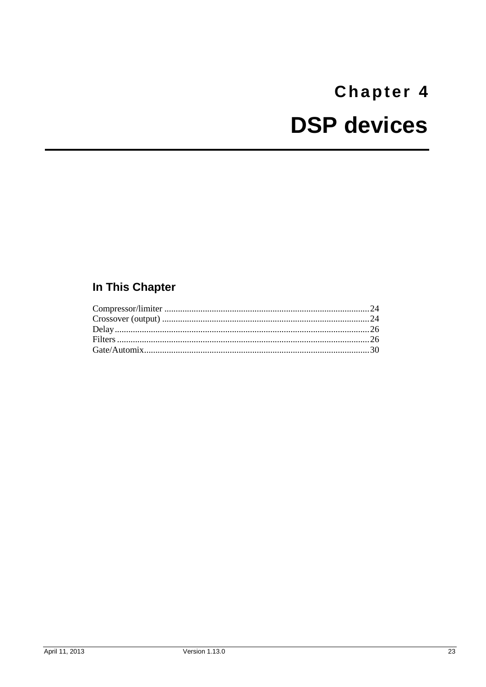# <span id="page-26-0"></span>Chapter 4 **DSP devices**

# <span id="page-26-1"></span>In This Chapter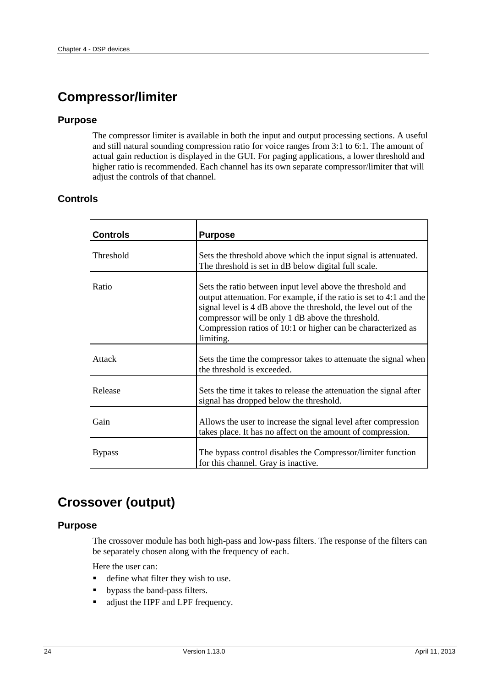# <span id="page-27-0"></span>**Compressor/limiter**

#### **Purpose**

The compressor limiter is available in both the input and output processing sections. A useful and still natural sounding compression ratio for voice ranges from 3:1 to 6:1. The amount of actual gain reduction is displayed in the GUI. For paging applications, a lower threshold and higher ratio is recommended. Each channel has its own separate compressor/limiter that will adjust the controls of that channel.

## **Controls**

| <b>Controls</b>  | <b>Purpose</b>                                                                                                                                                                                                                                                                                                                        |
|------------------|---------------------------------------------------------------------------------------------------------------------------------------------------------------------------------------------------------------------------------------------------------------------------------------------------------------------------------------|
| <b>Threshold</b> | Sets the threshold above which the input signal is attenuated.<br>The threshold is set in dB below digital full scale.                                                                                                                                                                                                                |
| Ratio            | Sets the ratio between input level above the threshold and<br>output attenuation. For example, if the ratio is set to 4:1 and the<br>signal level is 4 dB above the threshold, the level out of the<br>compressor will be only 1 dB above the threshold.<br>Compression ratios of 10:1 or higher can be characterized as<br>limiting. |
| Attack           | Sets the time the compressor takes to attenuate the signal when<br>the threshold is exceeded.                                                                                                                                                                                                                                         |
| Release          | Sets the time it takes to release the attenuation the signal after<br>signal has dropped below the threshold.                                                                                                                                                                                                                         |
| Gain             | Allows the user to increase the signal level after compression<br>takes place. It has no affect on the amount of compression.                                                                                                                                                                                                         |
| <b>Bypass</b>    | The bypass control disables the Compressor/limiter function<br>for this channel. Gray is inactive.                                                                                                                                                                                                                                    |

## <span id="page-27-1"></span>**Crossover (output)**

#### **Purpose**

The crossover module has both high-pass and low-pass filters. The response of the filters can be separately chosen along with the frequency of each.

Here the user can:

- define what filter they wish to use.
- bypass the band-pass filters.
- diust the HPF and LPF frequency.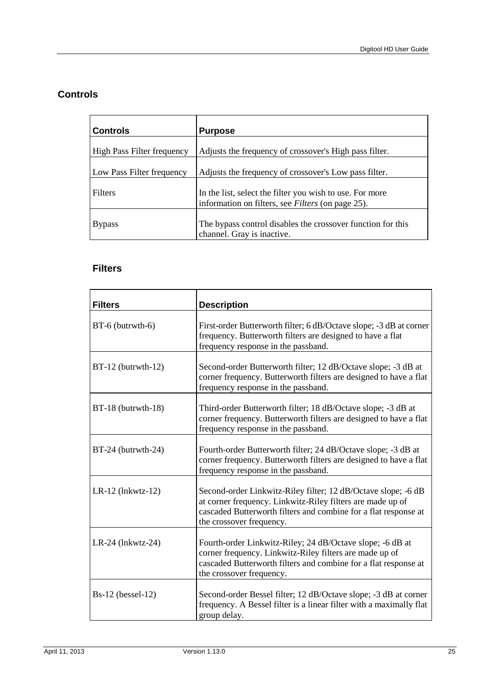## **Controls**

| <b>Controls</b>            | <b>Purpose</b>                                                                                                       |
|----------------------------|----------------------------------------------------------------------------------------------------------------------|
| High Pass Filter frequency | Adjusts the frequency of crossover's High pass filter.                                                               |
| Low Pass Filter frequency  | Adjusts the frequency of crossover's Low pass filter.                                                                |
| <b>Filters</b>             | In the list, select the filter you wish to use. For more<br>information on filters, see <i>Filters</i> (on page 25). |
| <b>Bypass</b>              | The bypass control disables the crossover function for this<br>channel. Gray is inactive.                            |

## <span id="page-28-0"></span>**Filters**

| <b>Filters</b>       | <b>Description</b>                                                                                                                                                                                                         |
|----------------------|----------------------------------------------------------------------------------------------------------------------------------------------------------------------------------------------------------------------------|
| BT-6 (butrwth-6)     | First-order Butterworth filter; 6 dB/Octave slope; -3 dB at corner<br>frequency. Butterworth filters are designed to have a flat<br>frequency response in the passband.                                                    |
| $BT-12$ (butrwth-12) | Second-order Butterworth filter; 12 dB/Octave slope; -3 dB at<br>corner frequency. Butterworth filters are designed to have a flat<br>frequency response in the passband.                                                  |
| BT-18 (butrwth-18)   | Third-order Butterworth filter; 18 dB/Octave slope; -3 dB at<br>corner frequency. Butterworth filters are designed to have a flat<br>frequency response in the passband.                                                   |
| BT-24 (butrwth-24)   | Fourth-order Butterworth filter; 24 dB/Octave slope; -3 dB at<br>corner frequency. Butterworth filters are designed to have a flat<br>frequency response in the passband.                                                  |
| $LR-12$ (lnkwtz-12)  | Second-order Linkwitz-Riley filter; 12 dB/Octave slope; -6 dB<br>at corner frequency. Linkwitz-Riley filters are made up of<br>cascaded Butterworth filters and combine for a flat response at<br>the crossover frequency. |
| $LR-24$ (lnkwtz-24)  | Fourth-order Linkwitz-Riley; 24 dB/Octave slope; -6 dB at<br>corner frequency. Linkwitz-Riley filters are made up of<br>cascaded Butterworth filters and combine for a flat response at<br>the crossover frequency.        |
| $Bs-12$ (bessel-12)  | Second-order Bessel filter; 12 dB/Octave slope; -3 dB at corner<br>frequency. A Bessel filter is a linear filter with a maximally flat<br>group delay.                                                                     |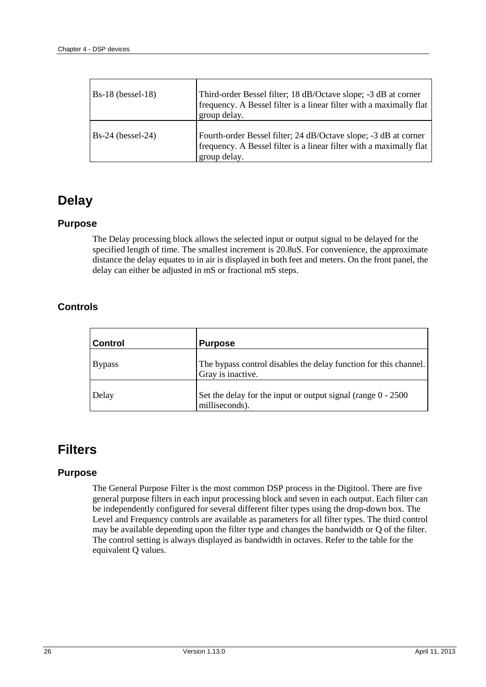| $Bs-18$ (bessel-18) | Third-order Bessel filter; 18 dB/Octave slope; -3 dB at corner<br>frequency. A Bessel filter is a linear filter with a maximally flat<br>group delay.  |
|---------------------|--------------------------------------------------------------------------------------------------------------------------------------------------------|
| $Bs-24$ (bessel-24) | Fourth-order Bessel filter; 24 dB/Octave slope; -3 dB at corner<br>frequency. A Bessel filter is a linear filter with a maximally flat<br>group delay. |

## <span id="page-29-0"></span>**Delay**

### **Purpose**

The Delay processing block allows the selected input or output signal to be delayed for the specified length of time. The smallest increment is 20.8uS. For convenience, the approximate distance the delay equates to in air is displayed in both feet and meters. On the front panel, the delay can either be adjusted in mS or fractional mS steps.

## **Controls**

| <b>Control</b> | <b>Purpose</b>                                                                        |
|----------------|---------------------------------------------------------------------------------------|
| <b>Bypass</b>  | The bypass control disables the delay function for this channel.<br>Gray is inactive. |
| Delay          | Set the delay for the input or output signal (range $0 - 2500$ )<br>milliseconds).    |

## <span id="page-29-1"></span>**Filters**

### **Purpose**

The General Purpose Filter is the most common DSP process in the Digitool. There are five general purpose filters in each input processing block and seven in each output. Each filter can be independently configured for several different filter types using the drop-down box. The Level and Frequency controls are available as parameters for all filter types. The third control may be available depending upon the filter type and changes the bandwidth or Q of the filter. The control setting is always displayed as bandwidth in octaves. Refer to the table for the equivalent Q values.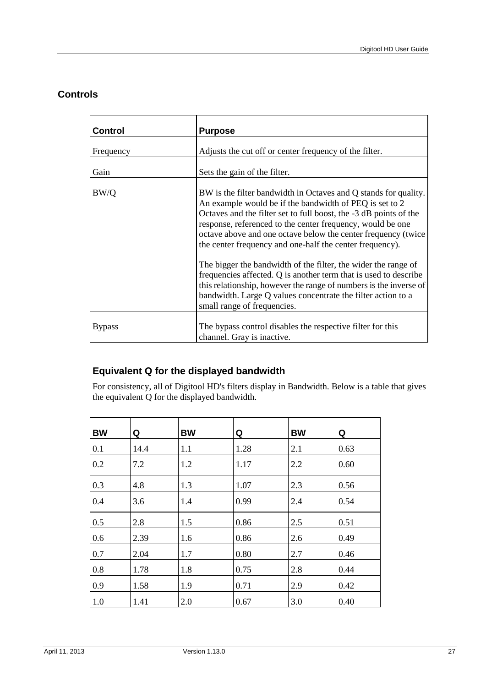## **Controls**

| <b>Control</b> | <b>Purpose</b>                                                                                                                                                                                                                                                                                                                                                                                                                                                                                                                                                                                                                                                                                       |
|----------------|------------------------------------------------------------------------------------------------------------------------------------------------------------------------------------------------------------------------------------------------------------------------------------------------------------------------------------------------------------------------------------------------------------------------------------------------------------------------------------------------------------------------------------------------------------------------------------------------------------------------------------------------------------------------------------------------------|
| Frequency      | Adjusts the cut off or center frequency of the filter.                                                                                                                                                                                                                                                                                                                                                                                                                                                                                                                                                                                                                                               |
| Gain           | Sets the gain of the filter.                                                                                                                                                                                                                                                                                                                                                                                                                                                                                                                                                                                                                                                                         |
| BW/Q           | BW is the filter bandwidth in Octaves and Q stands for quality.<br>An example would be if the bandwidth of PEQ is set to 2<br>Octaves and the filter set to full boost, the -3 dB points of the<br>response, referenced to the center frequency, would be one<br>octave above and one octave below the center frequency (twice<br>the center frequency and one-half the center frequency).<br>The bigger the bandwidth of the filter, the wider the range of<br>frequencies affected. Q is another term that is used to describe<br>this relationship, however the range of numbers is the inverse of<br>bandwidth. Large Q values concentrate the filter action to a<br>small range of frequencies. |
| <b>Bypass</b>  | The bypass control disables the respective filter for this<br>channel. Gray is inactive.                                                                                                                                                                                                                                                                                                                                                                                                                                                                                                                                                                                                             |

## **Equivalent Q for the displayed bandwidth**

For consistency, all of Digitool HD's filters display in Bandwidth. Below is a table that gives the equivalent Q for the displayed bandwidth.

| <b>BW</b> | Q    | <b>BW</b> | Q    | <b>BW</b> | Q    |
|-----------|------|-----------|------|-----------|------|
| 0.1       | 14.4 | 1.1       | 1.28 | 2.1       | 0.63 |
| 0.2       | 7.2  | 1.2       | 1.17 | 2.2       | 0.60 |
| 0.3       | 4.8  | 1.3       | 1.07 | 2.3       | 0.56 |
| 0.4       | 3.6  | 1.4       | 0.99 | 2.4       | 0.54 |
| 0.5       | 2.8  | 1.5       | 0.86 | 2.5       | 0.51 |
| 0.6       | 2.39 | 1.6       | 0.86 | 2.6       | 0.49 |
| 0.7       | 2.04 | 1.7       | 0.80 | 2.7       | 0.46 |
| 0.8       | 1.78 | 1.8       | 0.75 | 2.8       | 0.44 |
| 0.9       | 1.58 | 1.9       | 0.71 | 2.9       | 0.42 |
| 1.0       | 1.41 | 2.0       | 0.67 | 3.0       | 0.40 |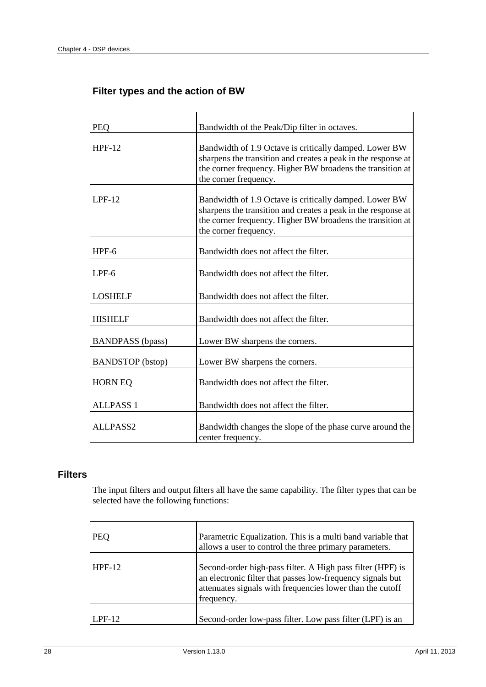## **Filter types and the action of BW**

| <b>PEO</b>              | Bandwidth of the Peak/Dip filter in octaves.                                                                                                                                                                   |
|-------------------------|----------------------------------------------------------------------------------------------------------------------------------------------------------------------------------------------------------------|
| <b>HPF-12</b>           | Bandwidth of 1.9 Octave is critically damped. Lower BW<br>sharpens the transition and creates a peak in the response at<br>the corner frequency. Higher BW broadens the transition at<br>the corner frequency. |
| $LPF-12$                | Bandwidth of 1.9 Octave is critically damped. Lower BW<br>sharpens the transition and creates a peak in the response at<br>the corner frequency. Higher BW broadens the transition at<br>the corner frequency. |
| $HPF-6$                 | Bandwidth does not affect the filter.                                                                                                                                                                          |
| $LPF-6$                 | Bandwidth does not affect the filter.                                                                                                                                                                          |
| <b>LOSHELF</b>          | Bandwidth does not affect the filter.                                                                                                                                                                          |
| <b>HISHELF</b>          | Bandwidth does not affect the filter.                                                                                                                                                                          |
| <b>BANDPASS</b> (bpass) | Lower BW sharpens the corners.                                                                                                                                                                                 |
| <b>BANDSTOP</b> (bstop) | Lower BW sharpens the corners.                                                                                                                                                                                 |
| <b>HORN EQ</b>          | Bandwidth does not affect the filter.                                                                                                                                                                          |
| <b>ALLPASS 1</b>        | Bandwidth does not affect the filter.                                                                                                                                                                          |
| ALLPASS2                | Bandwidth changes the slope of the phase curve around the<br>center frequency.                                                                                                                                 |

### **Filters**

The input filters and output filters all have the same capability. The filter types that can be selected have the following functions:

| <b>PEO</b> | Parametric Equalization. This is a multi band variable that<br>allows a user to control the three primary parameters.                                                                               |
|------------|-----------------------------------------------------------------------------------------------------------------------------------------------------------------------------------------------------|
| $HPF-12$   | Second-order high-pass filter. A High pass filter (HPF) is<br>an electronic filter that passes low-frequency signals but<br>attenuates signals with frequencies lower than the cutoff<br>frequency. |
| $LPF-12$   | Second-order low-pass filter. Low pass filter (LPF) is an                                                                                                                                           |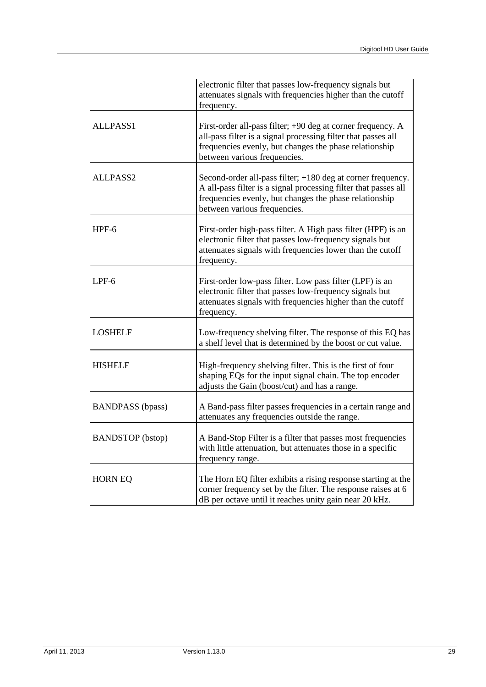|                         | electronic filter that passes low-frequency signals but<br>attenuates signals with frequencies higher than the cutoff<br>frequency.                                                                                      |
|-------------------------|--------------------------------------------------------------------------------------------------------------------------------------------------------------------------------------------------------------------------|
| ALLPASS1                | First-order all-pass filter; +90 deg at corner frequency. A<br>all-pass filter is a signal processing filter that passes all<br>frequencies evenly, but changes the phase relationship<br>between various frequencies.   |
| ALLPASS2                | Second-order all-pass filter; +180 deg at corner frequency.<br>A all-pass filter is a signal processing filter that passes all<br>frequencies evenly, but changes the phase relationship<br>between various frequencies. |
| HPF-6                   | First-order high-pass filter. A High pass filter (HPF) is an<br>electronic filter that passes low-frequency signals but<br>attenuates signals with frequencies lower than the cutoff<br>frequency.                       |
| $LPF-6$                 | First-order low-pass filter. Low pass filter (LPF) is an<br>electronic filter that passes low-frequency signals but<br>attenuates signals with frequencies higher than the cutoff<br>frequency.                          |
| <b>LOSHELF</b>          | Low-frequency shelving filter. The response of this EQ has<br>a shelf level that is determined by the boost or cut value.                                                                                                |
| <b>HISHELF</b>          | High-frequency shelving filter. This is the first of four<br>shaping EQs for the input signal chain. The top encoder<br>adjusts the Gain (boost/cut) and has a range.                                                    |
| <b>BANDPASS</b> (bpass) | A Band-pass filter passes frequencies in a certain range and<br>attenuates any frequencies outside the range.                                                                                                            |
| <b>BANDSTOP</b> (bstop) | A Band-Stop Filter is a filter that passes most frequencies<br>with little attenuation, but attenuates those in a specific<br>frequency range.                                                                           |
| <b>HORN EQ</b>          | The Horn EQ filter exhibits a rising response starting at the<br>corner frequency set by the filter. The response raises at 6<br>dB per octave until it reaches unity gain near 20 kHz.                                  |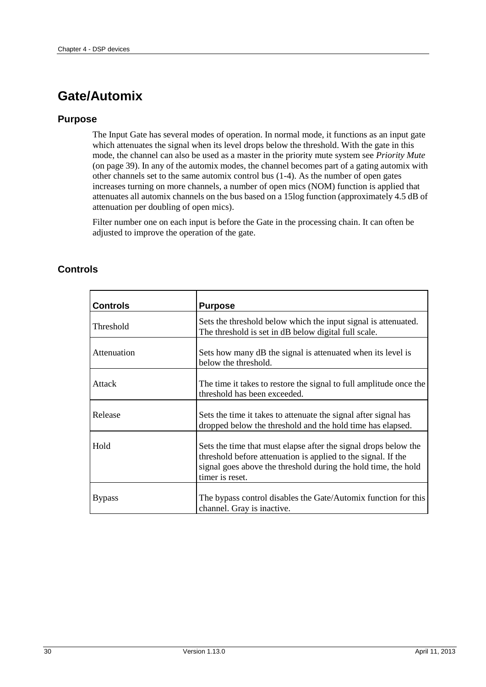# <span id="page-33-0"></span>**Gate/Automix**

### **Purpose**

The Input Gate has several modes of operation. In normal mode, it functions as an input gate which attenuates the signal when its level drops below the threshold. With the gate in this mode, the channel can also be used as a master in the priority mute system see *Priority Mute* (on page [39\)](#page-42-0). In any of the automix modes, the channel becomes part of a gating automix with other channels set to the same automix control bus (1-4). As the number of open gates increases turning on more channels, a number of open mics (NOM) function is applied that attenuates all automix channels on the bus based on a 15log function (approximately 4.5 dB of attenuation per doubling of open mics).

Filter number one on each input is before the Gate in the processing chain. It can often be adjusted to improve the operation of the gate.

| <b>Controls</b> | <b>Purpose</b>                                                                                                                                                                                                        |
|-----------------|-----------------------------------------------------------------------------------------------------------------------------------------------------------------------------------------------------------------------|
| Threshold       | Sets the threshold below which the input signal is attenuated.<br>The threshold is set in dB below digital full scale.                                                                                                |
| Attenuation     | Sets how many dB the signal is attenuated when its level is<br>below the threshold.                                                                                                                                   |
| Attack          | The time it takes to restore the signal to full amplitude once the<br>threshold has been exceeded.                                                                                                                    |
| Release         | Sets the time it takes to attenuate the signal after signal has<br>dropped below the threshold and the hold time has elapsed.                                                                                         |
| Hold            | Sets the time that must elapse after the signal drops below the<br>threshold before attenuation is applied to the signal. If the<br>signal goes above the threshold during the hold time, the hold<br>timer is reset. |
| <b>Bypass</b>   | The bypass control disables the Gate/Automix function for this<br>channel. Gray is inactive.                                                                                                                          |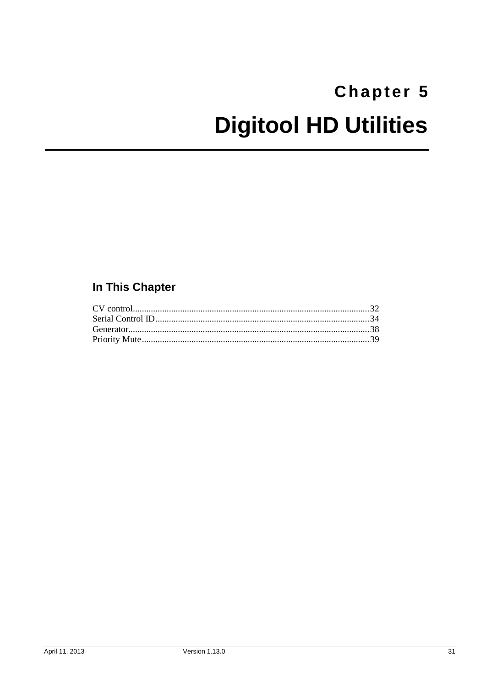# <span id="page-34-1"></span><span id="page-34-0"></span>Chapter 5 **Digitool HD Utilities**

## In This Chapter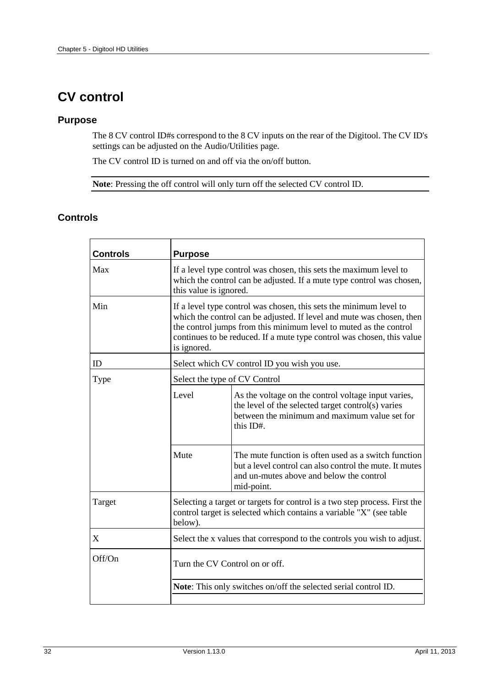# <span id="page-35-0"></span>**CV control**

#### **Purpose**

The 8 CV control ID#s correspond to the 8 CV inputs on the rear of the Digitool. The CV ID's settings can be adjusted on the Audio/Utilities page.

The CV control ID is turned on and off via the on/off button.

**Note**: Pressing the off control will only turn off the selected CV control ID.

| <b>Controls</b> | <b>Purpose</b>                                                                                                                                                                                                                                                                                            |                                                                                                                                                                           |  |
|-----------------|-----------------------------------------------------------------------------------------------------------------------------------------------------------------------------------------------------------------------------------------------------------------------------------------------------------|---------------------------------------------------------------------------------------------------------------------------------------------------------------------------|--|
| Max             | If a level type control was chosen, this sets the maximum level to<br>which the control can be adjusted. If a mute type control was chosen,<br>this value is ignored.                                                                                                                                     |                                                                                                                                                                           |  |
| Min             | If a level type control was chosen, this sets the minimum level to<br>which the control can be adjusted. If level and mute was chosen, then<br>the control jumps from this minimum level to muted as the control<br>continues to be reduced. If a mute type control was chosen, this value<br>is ignored. |                                                                                                                                                                           |  |
| ID              | Select which CV control ID you wish you use.                                                                                                                                                                                                                                                              |                                                                                                                                                                           |  |
| Type            | Select the type of CV Control                                                                                                                                                                                                                                                                             |                                                                                                                                                                           |  |
|                 | Level                                                                                                                                                                                                                                                                                                     | As the voltage on the control voltage input varies,<br>the level of the selected target control(s) varies<br>between the minimum and maximum value set for<br>this ID#.   |  |
|                 | Mute                                                                                                                                                                                                                                                                                                      | The mute function is often used as a switch function<br>but a level control can also control the mute. It mutes<br>and un-mutes above and below the control<br>mid-point. |  |
| Target          | Selecting a target or targets for control is a two step process. First the<br>control target is selected which contains a variable "X" (see table<br>below).                                                                                                                                              |                                                                                                                                                                           |  |
| X               | Select the x values that correspond to the controls you wish to adjust.                                                                                                                                                                                                                                   |                                                                                                                                                                           |  |
| Off/On          | Turn the CV Control on or off.                                                                                                                                                                                                                                                                            |                                                                                                                                                                           |  |
|                 | Note: This only switches on/off the selected serial control ID.                                                                                                                                                                                                                                           |                                                                                                                                                                           |  |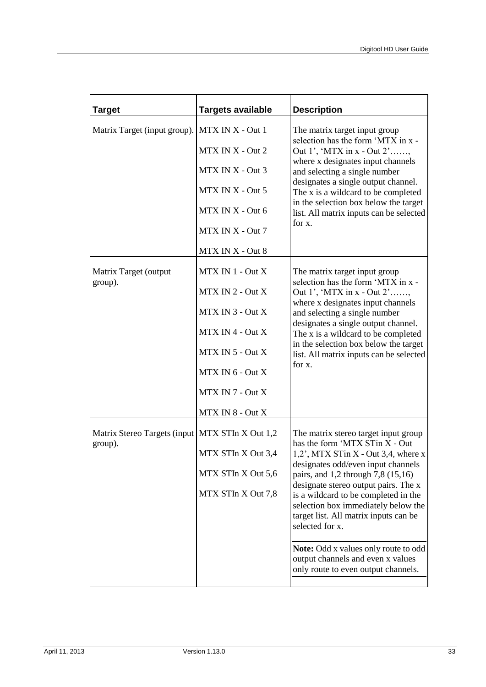| <b>Target</b>                                     | <b>Targets available</b> | <b>Description</b>                                                                                               |  |
|---------------------------------------------------|--------------------------|------------------------------------------------------------------------------------------------------------------|--|
| Matrix Target (input group).                      | MTX IN X - Out 1         | The matrix target input group<br>selection has the form 'MTX in x -                                              |  |
|                                                   | MTX IN X - Out 2         | Out 1', 'MTX in $x - Out 2'$ '                                                                                   |  |
|                                                   | MTX IN X - Out 3         | where x designates input channels<br>and selecting a single number                                               |  |
|                                                   | MTX IN X - Out 5         | designates a single output channel.<br>The x is a wildcard to be completed                                       |  |
|                                                   | MTX IN X - Out 6         | in the selection box below the target<br>list. All matrix inputs can be selected                                 |  |
|                                                   | MTX IN X - Out 7         | for x.                                                                                                           |  |
|                                                   | MTX IN X - Out 8         |                                                                                                                  |  |
| Matrix Target (output                             | MTX IN 1 - Out X         | The matrix target input group                                                                                    |  |
| group).                                           | MTX IN 2 - Out X         | selection has the form 'MTX in x -<br>Out 1', 'MTX in $x - Out 2'$ '                                             |  |
|                                                   | MTX IN 3 - Out X         | where x designates input channels<br>and selecting a single number                                               |  |
|                                                   | MTX IN 4 - Out X         | designates a single output channel.<br>The x is a wildcard to be completed                                       |  |
|                                                   | MTX IN 5 - Out X         | in the selection box below the target<br>list. All matrix inputs can be selected                                 |  |
|                                                   | MTX IN 6 - Out X         | for x.                                                                                                           |  |
|                                                   | MTX IN 7 - Out X         |                                                                                                                  |  |
|                                                   | MTX IN 8 - Out X         |                                                                                                                  |  |
| Matrix Stereo Targets (input   MTX STIn X Out 1,2 |                          | The matrix stereo target input group                                                                             |  |
| group).                                           | MTX STIn X Out 3,4       | has the form 'MTX STin X - Out<br>$1,2$ , MTX STin X - Out 3,4, where x                                          |  |
|                                                   | MTX STIn X Out 5,6       | designates odd/even input channels<br>pairs, and 1,2 through 7,8 (15,16)                                         |  |
|                                                   | MTX STIn X Out 7,8       | designate stereo output pairs. The x<br>is a wildcard to be completed in the                                     |  |
|                                                   |                          | selection box immediately below the<br>target list. All matrix inputs can be<br>selected for x.                  |  |
|                                                   |                          | Note: Odd x values only route to odd<br>output channels and even x values<br>only route to even output channels. |  |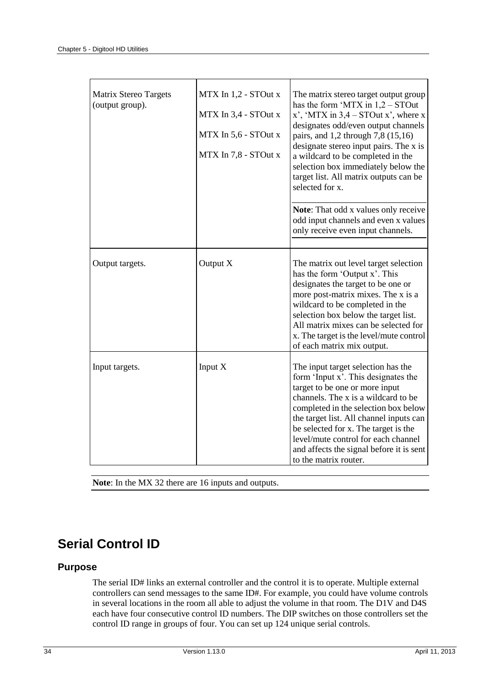| Matrix Stereo Targets<br>(output group). | MTX In 1,2 - STOut x<br>MTX In 3,4 - STOut x<br>MTX In 5,6 - STOut x<br>MTX In 7,8 - STOut x | The matrix stereo target output group<br>has the form 'MTX in $1,2$ – STOut<br>x', 'MTX in $3,4$ – STOut x', where x<br>designates odd/even output channels<br>pairs, and 1,2 through 7,8 (15,16)<br>designate stereo input pairs. The x is<br>a wildcard to be completed in the<br>selection box immediately below the<br>target list. All matrix outputs can be<br>selected for x.      |
|------------------------------------------|----------------------------------------------------------------------------------------------|-------------------------------------------------------------------------------------------------------------------------------------------------------------------------------------------------------------------------------------------------------------------------------------------------------------------------------------------------------------------------------------------|
|                                          |                                                                                              | Note: That odd x values only receive<br>odd input channels and even x values<br>only receive even input channels.                                                                                                                                                                                                                                                                         |
| Output targets.                          | Output X                                                                                     | The matrix out level target selection<br>has the form 'Output x'. This<br>designates the target to be one or<br>more post-matrix mixes. The x is a<br>wildcard to be completed in the<br>selection box below the target list.<br>All matrix mixes can be selected for<br>x. The target is the level/mute control<br>of each matrix mix output.                                            |
| Input targets.                           | Input X                                                                                      | The input target selection has the<br>form 'Input x'. This designates the<br>target to be one or more input<br>channels. The x is a wildcard to be<br>completed in the selection box below<br>the target list. All channel inputs can<br>be selected for x. The target is the<br>level/mute control for each channel<br>and affects the signal before it is sent<br>to the matrix router. |

**Note**: In the MX 32 there are 16 inputs and outputs.

## <span id="page-37-0"></span>**Serial Control ID**

### **Purpose**

The serial ID# links an external controller and the control it is to operate. Multiple external controllers can send messages to the same ID#. For example, you could have volume controls in several locations in the room all able to adjust the volume in that room. The D1V and D4S each have four consecutive control ID numbers. The DIP switches on those controllers set the control ID range in groups of four. You can set up 124 unique serial controls.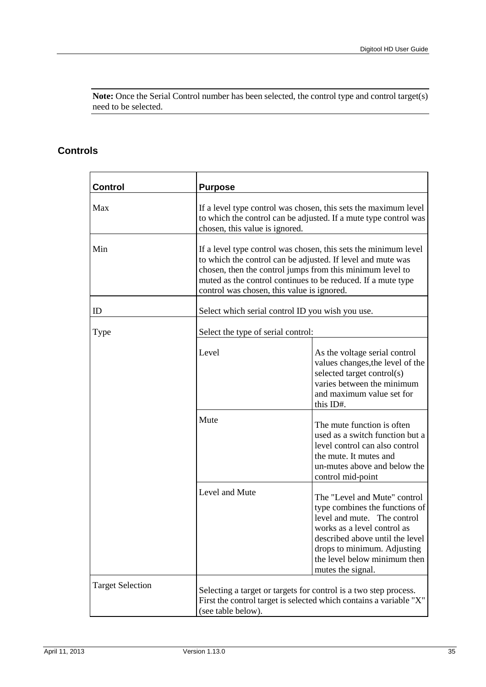**Note:** Once the Serial Control number has been selected, the control type and control target(s) need to be selected.

| <b>Control</b>          | <b>Purpose</b>                                                                                                                                                                                                                                                                                            |                                                                                                                                                                                                                                                     |  |
|-------------------------|-----------------------------------------------------------------------------------------------------------------------------------------------------------------------------------------------------------------------------------------------------------------------------------------------------------|-----------------------------------------------------------------------------------------------------------------------------------------------------------------------------------------------------------------------------------------------------|--|
| Max                     | If a level type control was chosen, this sets the maximum level<br>to which the control can be adjusted. If a mute type control was<br>chosen, this value is ignored.                                                                                                                                     |                                                                                                                                                                                                                                                     |  |
| Min                     | If a level type control was chosen, this sets the minimum level<br>to which the control can be adjusted. If level and mute was<br>chosen, then the control jumps from this minimum level to<br>muted as the control continues to be reduced. If a mute type<br>control was chosen, this value is ignored. |                                                                                                                                                                                                                                                     |  |
| ID                      | Select which serial control ID you wish you use.                                                                                                                                                                                                                                                          |                                                                                                                                                                                                                                                     |  |
| Type                    | Select the type of serial control:                                                                                                                                                                                                                                                                        |                                                                                                                                                                                                                                                     |  |
|                         | Level                                                                                                                                                                                                                                                                                                     | As the voltage serial control<br>values changes, the level of the<br>selected target control(s)<br>varies between the minimum<br>and maximum value set for<br>this ID#.                                                                             |  |
|                         | Mute                                                                                                                                                                                                                                                                                                      | The mute function is often<br>used as a switch function but a<br>level control can also control<br>the mute. It mutes and<br>un-mutes above and below the<br>control mid-point                                                                      |  |
|                         | Level and Mute                                                                                                                                                                                                                                                                                            | The "Level and Mute" control<br>type combines the functions of<br>level and mute. The control<br>works as a level control as<br>described above until the level<br>drops to minimum. Adjusting<br>the level below minimum then<br>mutes the signal. |  |
| <b>Target Selection</b> | Selecting a target or targets for control is a two step process.<br>First the control target is selected which contains a variable "X"<br>(see table below).                                                                                                                                              |                                                                                                                                                                                                                                                     |  |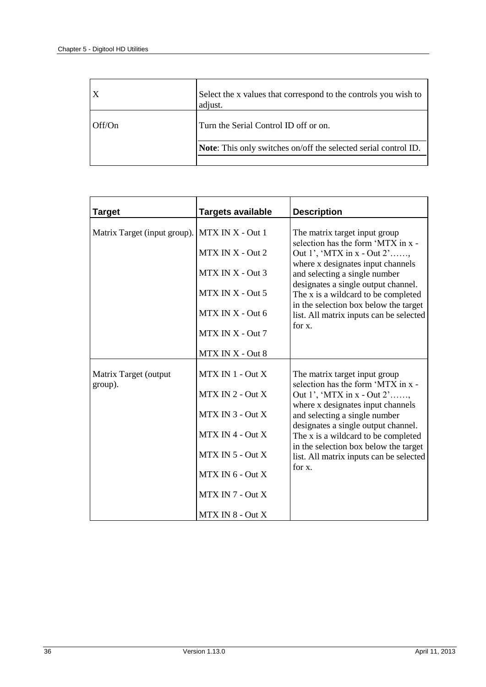| $\mathbf{X}$ | Select the x values that correspond to the controls you wish to<br>adjust. |
|--------------|----------------------------------------------------------------------------|
| l Off/On     | Turn the Serial Control ID off or on.                                      |
|              | <b>Note:</b> This only switches on/off the selected serial control ID.     |

| <b>Target</b>                    | <b>Targets available</b> | <b>Description</b>                                                                                                                                                                 |
|----------------------------------|--------------------------|------------------------------------------------------------------------------------------------------------------------------------------------------------------------------------|
| Matrix Target (input group).     | MTX IN X - Out 1         | The matrix target input group<br>selection has the form 'MTX in x -                                                                                                                |
|                                  | MTX IN X - Out 2         | Out 1', 'MTX in $x - Out 2'$ '<br>where x designates input channels<br>and selecting a single number<br>designates a single output channel.<br>The x is a wildcard to be completed |
|                                  | MTX IN X - Out 3         |                                                                                                                                                                                    |
|                                  | MTX IN X - Out 5         |                                                                                                                                                                                    |
|                                  | MTX IN X - Out 6         | in the selection box below the target<br>list. All matrix inputs can be selected                                                                                                   |
|                                  | MTX IN X - Out 7         | for x.                                                                                                                                                                             |
|                                  | MTX IN X - Out 8         |                                                                                                                                                                                    |
| Matrix Target (output<br>group). | $MTX IN 1 - Out X$       | The matrix target input group                                                                                                                                                      |
|                                  | $MTX IN 2 - Out X$       | selection has the form 'MTX in x -<br>Out 1', 'MTX in $x - Out 2'$ '                                                                                                               |
|                                  | MTX IN 3 - Out X         | where x designates input channels<br>and selecting a single number                                                                                                                 |
|                                  | $MTX IN 4 - Out X$       | designates a single output channel.<br>The x is a wildcard to be completed                                                                                                         |
|                                  | MTX IN 5 - Out X         | in the selection box below the target<br>list. All matrix inputs can be selected                                                                                                   |
|                                  | $MTX IN 6 - Out X$       | for x.                                                                                                                                                                             |
|                                  | MTX IN 7 - Out X         |                                                                                                                                                                                    |
|                                  | $MTX IN 8 - Out X$       |                                                                                                                                                                                    |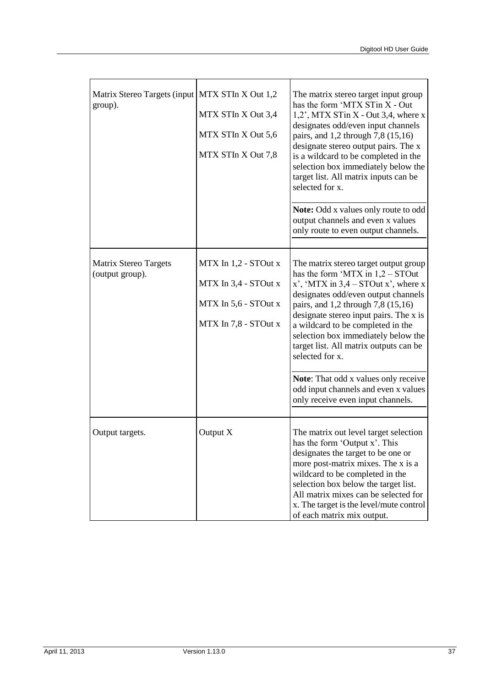| Matrix Stereo Targets (input   MTX STIn X Out 1,2<br>group). | MTX STIn X Out 3,4<br>MTX STIn X Out 5,6<br>MTX STIn X Out 7,8                               | The matrix stereo target input group<br>has the form 'MTX STin X - Out<br>$1,2$ , MTX STin X - Out 3,4, where x<br>designates odd/even input channels<br>pairs, and 1,2 through 7,8 (15,16)<br>designate stereo output pairs. The x<br>is a wildcard to be completed in the<br>selection box immediately below the<br>target list. All matrix inputs can be<br>selected for x.<br><b>Note:</b> Odd x values only route to odd<br>output channels and even x values<br>only route to even output channels. |
|--------------------------------------------------------------|----------------------------------------------------------------------------------------------|-----------------------------------------------------------------------------------------------------------------------------------------------------------------------------------------------------------------------------------------------------------------------------------------------------------------------------------------------------------------------------------------------------------------------------------------------------------------------------------------------------------|
| Matrix Stereo Targets<br>(output group).                     | MTX In 1,2 - STOut x<br>MTX In 3,4 - STOut x<br>MTX In 5,6 - STOut x<br>MTX In 7,8 - STOut x | The matrix stereo target output group<br>has the form 'MTX in $1,2$ – STOut<br>x', 'MTX in $3,4$ – STOut x', where x<br>designates odd/even output channels<br>pairs, and 1,2 through 7,8 (15,16)<br>designate stereo input pairs. The x is<br>a wildcard to be completed in the<br>selection box immediately below the<br>target list. All matrix outputs can be<br>selected for x.<br>Note: That odd x values only receive<br>odd input channels and even x values<br>only receive even input channels. |
| Output targets.                                              | Output X                                                                                     | The matrix out level target selection<br>has the form 'Output x'. This<br>designates the target to be one or<br>more post-matrix mixes. The x is a<br>wildcard to be completed in the<br>selection box below the target list.<br>All matrix mixes can be selected for<br>x. The target is the level/mute control<br>of each matrix mix output.                                                                                                                                                            |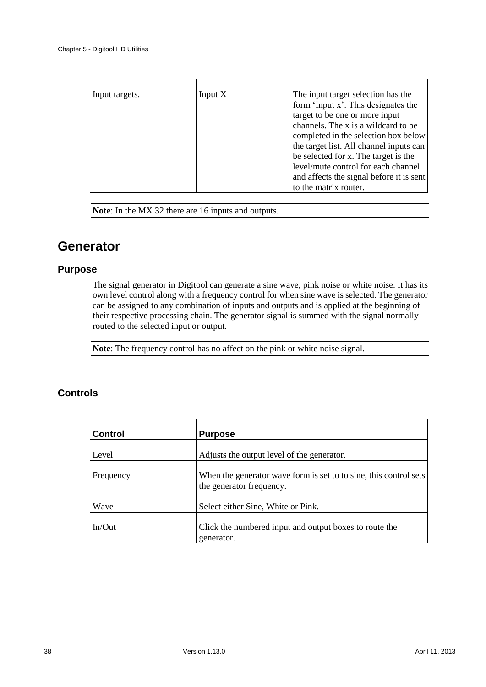| Input targets. | Input $X$ | The input target selection has the       |
|----------------|-----------|------------------------------------------|
|                |           | form 'Input x'. This designates the      |
|                |           | target to be one or more input           |
|                |           | channels. The x is a wildcard to be      |
|                |           | completed in the selection box below     |
|                |           | the target list. All channel inputs can  |
|                |           | be selected for x. The target is the     |
|                |           | level/mute control for each channel      |
|                |           | and affects the signal before it is sent |
|                |           | to the matrix router.                    |

**Note**: In the MX 32 there are 16 inputs and outputs.

## <span id="page-41-0"></span>**Generator**

#### **Purpose**

The signal generator in Digitool can generate a sine wave, pink noise or white noise. It has its own level control along with a frequency control for when sine wave is selected. The generator can be assigned to any combination of inputs and outputs and is applied at the beginning of their respective processing chain. The generator signal is summed with the signal normally routed to the selected input or output.

**Note**: The frequency control has no affect on the pink or white noise signal.

| <b>Control</b> | <b>Purpose</b>                                                                                |
|----------------|-----------------------------------------------------------------------------------------------|
| Level          | Adjusts the output level of the generator.                                                    |
| Frequency      | When the generator wave form is set to to sine, this control sets<br>the generator frequency. |
| Wave           | Select either Sine, White or Pink.                                                            |
| $In/O$ ut      | Click the numbered input and output boxes to route the<br>generator.                          |